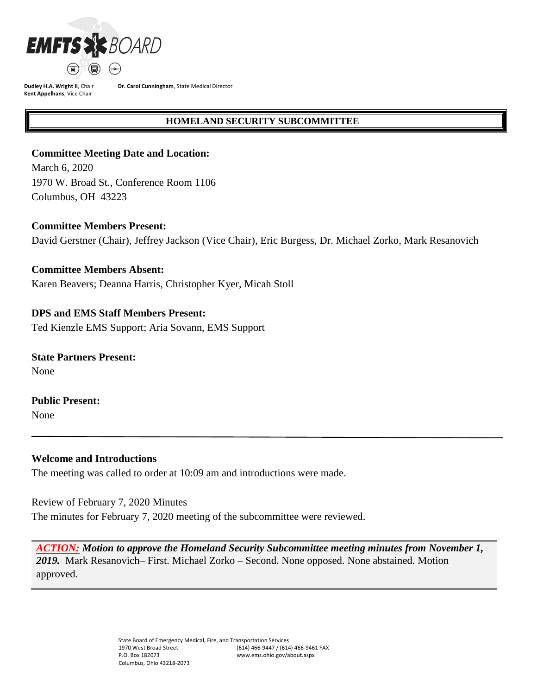

**Dudley H.A. Wright II**, Chair **Kent Appelhans**, Vice Chair

**Dr. Carol Cunningham**, State Medical Director

## **HOMELAND SECURITY SUBCOMMITTEE**

## **Committee Meeting Date and Location:**

March 6, 2020 1970 W. Broad St., Conference Room 1106 Columbus, OH 43223

### **Committee Members Present:**

David Gerstner (Chair), Jeffrey Jackson (Vice Chair), Eric Burgess, Dr. Michael Zorko, Mark Resanovich

### **Committee Members Absent:**

Karen Beavers; Deanna Harris, Christopher Kyer, Micah Stoll

## **DPS and EMS Staff Members Present:**

Ted Kienzle EMS Support; Aria Sovann, EMS Support

**State Partners Present:** None

# **Public Present:**

None

## **Welcome and Introductions**

The meeting was called to order at 10:09 am and introductions were made.

Review of February 7, 2020 Minutes The minutes for February 7, 2020 meeting of the subcommittee were reviewed.

*ACTION: Motion to approve the Homeland Security Subcommittee meeting minutes from November 1, 2019.* Mark Resanovich– First. Michael Zorko – Second. None opposed. None abstained. Motion approved.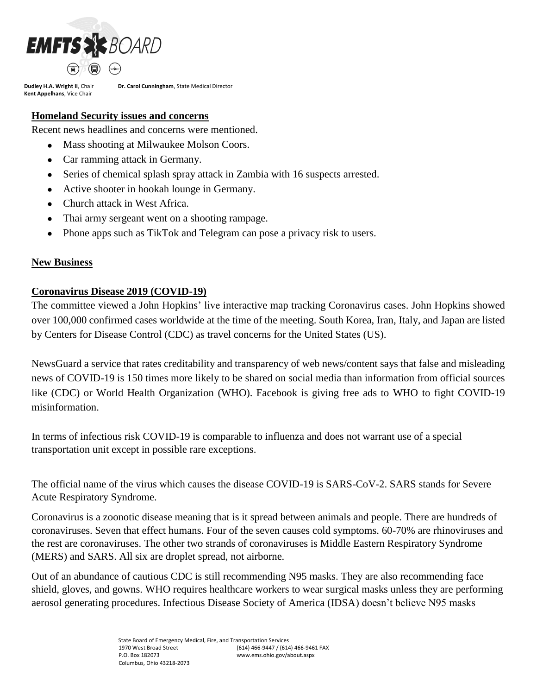

**Dudley H.A. Wright II**, Chair **Kent Appelhans**, Vice Chair

**Dr. Carol Cunningham**, State Medical Director

## **Homeland Security issues and concerns**

Recent news headlines and concerns were mentioned.

- Mass shooting at Milwaukee Molson Coors.
- Car ramming attack in Germany.
- Series of chemical splash spray attack in Zambia with 16 suspects arrested.
- Active shooter in hookah lounge in Germany.
- Church attack in West Africa.
- Thai army sergeant went on a shooting rampage.
- Phone apps such as TikTok and Telegram can pose a privacy risk to users.

### **New Business**

## **Coronavirus Disease 2019 (COVID-19)**

The committee viewed a John Hopkins' live interactive map tracking Coronavirus cases. John Hopkins showed over 100,000 confirmed cases worldwide at the time of the meeting. South Korea, Iran, Italy, and Japan are listed by Centers for Disease Control (CDC) as travel concerns for the United States (US).

NewsGuard a service that rates creditability and transparency of web news/content says that false and misleading news of COVID-19 is 150 times more likely to be shared on social media than information from official sources like (CDC) or World Health Organization (WHO). Facebook is giving free ads to WHO to fight COVID-19 misinformation.

In terms of infectious risk COVID-19 is comparable to influenza and does not warrant use of a special transportation unit except in possible rare exceptions.

The official name of the virus which causes the disease COVID-19 is SARS-CoV-2. SARS stands for Severe Acute Respiratory Syndrome.

Coronavirus is a zoonotic disease meaning that is it spread between animals and people. There are hundreds of coronaviruses. Seven that effect humans. Four of the seven causes cold symptoms. 60-70% are rhinoviruses and the rest are coronaviruses. The other two strands of coronaviruses is Middle Eastern Respiratory Syndrome (MERS) and SARS. All six are droplet spread, not airborne.

Out of an abundance of cautious CDC is still recommending N95 masks. They are also recommending face shield, gloves, and gowns. WHO requires healthcare workers to wear surgical masks unless they are performing aerosol generating procedures. Infectious Disease Society of America (IDSA) doesn't believe N95 masks